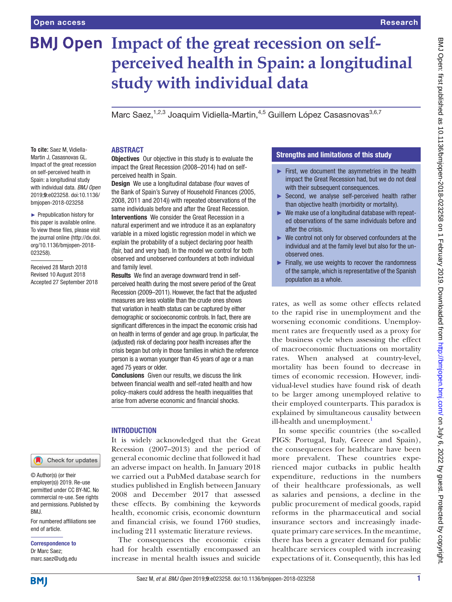# **BMJ Open** Impact of the great recession on self**perceived health in Spain: a longitudinal study with individual data**

Marc Saez, <sup>1,2,3</sup> Joaquim Vidiella-Martin, <sup>4,5</sup> Guillem López Casasnovas<sup>3,6,7</sup>

**To cite:** Saez M, Vidiella-Martin J, Casasnovas GL. Impact of the great recession on self-perceived health in Spain: a longitudinal study with individual data. *BMJ Open* 2019;9:e023258. doi:10.1136/ bmjopen-2018-023258

► Prepublication history for this paper is available online. To view these files, please visit the journal online [\(http://dx.doi.](http://dx.doi.org/10.1136/bmjopen-2018-023258) [org/10.1136/bmjopen-2018-](http://dx.doi.org/10.1136/bmjopen-2018-023258) [023258\)](http://dx.doi.org/10.1136/bmjopen-2018-023258).

Received 28 March 2018 Revised 10 August 2018 Accepted 27 September 2018

#### **ABSTRACT**

**Objectives** Our objective in this study is to evaluate the impact the Great Recession (2008–2014) had on selfperceived health in Spain.

Design We use a longitudinal database (four waves of the Bank of Spain's Survey of Household Finances (2005, 2008, 2011 and 2014)) with repeated observations of the same individuals before and after the Great Recession. Interventions We consider the Great Recession in a natural experiment and we introduce it as an explanatory variable in a mixed logistic regression model in which we explain the probability of a subject declaring poor health (fair, bad and very bad). In the model we control for both observed and unobserved confounders at both individual and family level.

Results We find an average downward trend in selfperceived health during the most severe period of the Great Recession (2009–2011). However, the fact that the adjusted measures are less volatile than the crude ones shows that variation in health status can be captured by either demographic or socioeconomic controls. In fact, there are significant differences in the impact the economic crisis had on health in terms of gender and age group. In particular, the (adjusted) risk of declaring poor health increases after the crisis began but only in those families in which the reference person is a woman younger than 45 years of age or a man aged 75 years or older.

Conclusions Given our results, we discuss the link between financial wealth and self-rated health and how policy-makers could address the health inequalities that arise from adverse economic and financial shocks.

#### **INTRODUCTION**

Check for updates

© Author(s) (or their employer(s)) 2019. Re-use permitted under CC BY-NC. No commercial re-use. See rights and permissions. Published by BMJ.

For numbered affiliations see end of article.

Correspondence to Dr Marc Saez; marc.saez@udg.edu

#### It is widely acknowledged that the Great Recession (2007–2013) and the period of general economic decline that followed it had an adverse impact on health. In January 2018 we carried out a PubMed database search for studies published in English between January 2008 and December 2017 that assessed these effects. By combining the keywords health, economic crisis, economic downturn and financial crisis, we found 1760 studies, including 211 systematic literature reviews.

The consequences the economic crisis had for health essentially encompassed an increase in mental health issues and suicide

#### Strengths and limitations of this study

- ► First, we document the asymmetries in the health impact the Great Recession had, but we do not deal with their subsequent consequences.
- ► Second, we analyse self-perceived health rather than objective health (morbidity or mortality).
- ► We make use of a longitudinal database with repeated observations of the same individuals before and after the crisis.
- ► We control not only for observed confounders at the individual and at the family level but also for the unobserved ones.
- $\blacktriangleright$  Finally, we use weights to recover the randomness of the sample, which is representative of the Spanish population as a whole.

rates, as well as some other effects related to the rapid rise in unemployment and the worsening economic conditions. Unemployment rates are frequently used as a proxy for the business cycle when assessing the effect of macroeconomic fluctuations on mortality rates. When analysed at country-level, mortality has been found to decrease in times of economic recession. However, individual-level studies have found risk of death to be larger among unemployed relative to their employed counterparts. This paradox is explained by simultaneous causality between ill-health and unemployment.<sup>[1](#page-7-0)</sup>

In some specific countries (the so-called PIGS: Portugal, Italy, Greece and Spain), the consequences for healthcare have been more prevalent. These countries experienced major cutbacks in public health expenditure, reductions in the numbers of their healthcare professionals, as well as salaries and pensions, a decline in the public procurement of medical goods, rapid reforms in the pharmaceutical and social insurance sectors and increasingly inadequate primary care services. In the meantime, there has been a greater demand for public healthcare services coupled with increasing expectations of it. Consequently, this has led

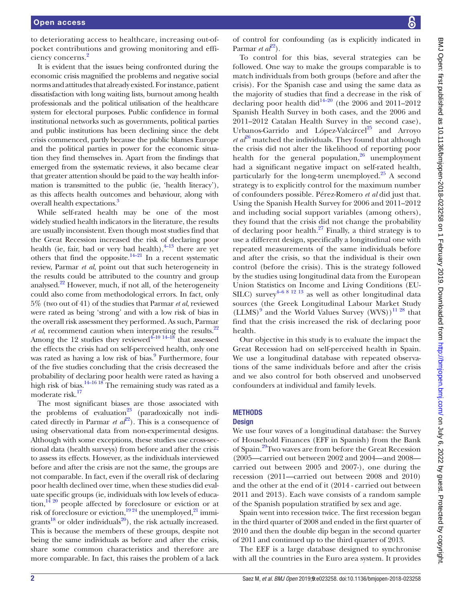to deteriorating access to healthcare, increasing out-ofpocket contributions and growing monitoring and efficiency concerns.[2](#page-7-1)

It is evident that the issues being confronted during the economic crisis magnified the problems and negative social norms and attitudes that already existed. For instance, patient dissatisfaction with long waiting lists, burnout among health professionals and the political utilisation of the healthcare system for electoral purposes. Public confidence in formal institutional networks such as governments, political parties and public institutions has been declining since the debt crisis commenced, partly because the public blames Europe and the political parties in power for the economic situation they find themselves in. Apart from the findings that emerged from the systematic reviews, it also became clear that greater attention should be paid to the way health information is transmitted to the public (ie, 'health literacy'), as this affects health outcomes and behaviour, along with overall health expectations.<sup>3</sup>

While self-rated health may be one of the most widely studied health indicators in the literature, the results are usually inconsistent. Even though most studies find that the Great Recession increased the risk of declaring poor health (ie, fair, bad or very bad health), $4\frac{13}{13}$  there are yet others that find the opposite.<sup>14–21</sup> In a recent systematic review, Parmar *et al*, point out that such heterogeneity in the results could be attributed to the country and group analysed. $^{22}$  $^{22}$  $^{22}$  However, much, if not all, of the heterogeneity could also come from methodological errors. In fact, only 5% (two out of 41) of the studies that Parmar *et al*, reviewed were rated as being 'strong' and with a low risk of bias in the overall risk assessment they performed. As such, Parmar *et al*, recommend caution when interpreting the results.<sup>[22](#page-8-1)</sup> Among the 12 studies they reviewed<sup> $4$ -10 14–18</sup> that assessed the effects the crisis had on self-perceived health, only one was rated as having a low risk of bias.<sup>9</sup> Furthermore, four of the five studies concluding that the crisis decreased the probability of declaring poor health were rated as having a high risk of bias.<sup>14–16 18</sup> The remaining study was rated as a moderate risk.<sup>17</sup>

The most significant biases are those associated with the problems of evaluation $^{23}$  (paradoxically not indicated directly in Parmar *et*  $a\ell^2$ ). This is a consequence of using observational data from non-experimental designs. Although with some exceptions, these studies use cross-sectional data (health surveys) from before and after the crisis to assess its effects. However, as the individuals interviewed before and after the crisis are not the same, the groups are not comparable. In fact, even if the overall risk of declaring poor health declined over time, when these studies did evaluate specific groups (ie, individuals with low levels of education,<sup>14 20</sup> people affected by foreclosure or eviction or at risk of foreclosure or eviction, $1924$  the unemployed, $21$  immigrants<sup>18</sup> or older individuals<sup>20</sup>), the risk actually increased. This is because the members of these groups, despite not being the same individuals as before and after the crisis, share some common characteristics and therefore are more comparable. In fact, this raises the problem of a lack

of control for confounding (as is explicitly indicated in Parmar *et al*<sup>22</sup>).

To control for this bias, several strategies can be followed. One way to make the groups comparable is to match individuals from both groups (before and after the crisis). For the Spanish case and using the same data as the majority of studies that find a decrease in the risk of declaring poor health did<sup>14–20</sup> (the 2006 and 2011–2012 Spanish Health Survey in both cases, and the 2006 and 2011–2012 Catalan Health Survey in the second case), Urbanos-Garrido and López-Valcárcel<sup>25</sup> and Arroyo *et*  $a^{\mu}$ <sup>6</sup> matched the individuals. They found that although the crisis did not alter the likelihood of reporting poor health for the general population, $^{26}$  unemployment had a significant negative impact on self-rated health, particularly for the long-term unemployed.<sup>25</sup> A second strategy is to explicitly control for the maximum number of confounders possible. Pérez-Romero *et al* did just that. Using the Spanish Health Survey for 2006 and 2011–2012 and including social support variables (among others), they found that the crisis did not change the probability of declaring poor health. $27$  Finally, a third strategy is to use a different design, specifically a longitudinal one with repeated measurements of the same individuals before and after the crisis, so that the individual is their own control (before the crisis). This is the strategy followed by the studies using longitudinal data from the European Union Statistics on Income and Living Conditions (EU-SILC) survey<sup>4-6 8 12 13</sup> as well as other longitudinal data sources (the Greek Longitudinal Labour Market Study  $(LLMS)^9$  and the World Values Survey (WVS))<sup>11 28</sup> that find that the crisis increased the risk of declaring poor health.

Our objective in this study is to evaluate the impact the Great Recession had on self-perceived health in Spain. We use a longitudinal database with repeated observations of the same individuals before and after the crisis and we also control for both observed and unobserved confounders at individual and family levels.

# **METHODS**

#### **Design**

We use four waves of a longitudinal database: the Survey of Household Finances (EFF in Spanish) from the Bank of Spain.[29](#page-8-11)Two waves are from before the Great Recession (2005—carried out between 2002 and 2004—and 2008 carried out between 2005 and 2007-), one during the recession (2011—carried out between 2008 and 2010) and the other at the end of it (2014 - carried out between 2011 and 2013). Each wave consists of a random sample of the Spanish population stratified by sex and age.

Spain went into recession twice. The first recession began in the third quarter of 2008 and ended in the first quarter of 2010 and then the double dip began in the second quarter of 2011 and continued up to the third quarter of 2013.

The EEF is a large database designed to synchronise with all the countries in the Euro area system. It provides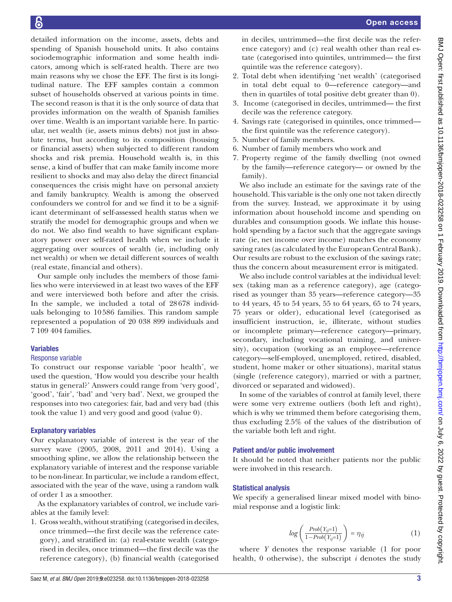detailed information on the income, assets, debts and spending of Spanish household units. It also contains sociodemographic information and some health indicators, among which is self-rated health. There are two main reasons why we chose the EFF. The first is its longitudinal nature. The EFF samples contain a common subset of households observed at various points in time. The second reason is that it is the only source of data that provides information on the wealth of Spanish families over time. Wealth is an important variable here. In particular, net wealth (ie, assets minus debts) not just in absolute terms, but according to its composition (housing or financial assets) when subjected to different random shocks and risk premia. Household wealth is, in this sense, a kind of buffer that can make family income more resilient to shocks and may also delay the direct financial consequences the crisis might have on personal anxiety and family bankruptcy. Wealth is among the observed confounders we control for and we find it to be a significant determinant of self-assessed health status when we stratify the model for demographic groups and when we do not. We also find wealth to have significant explanatory power over self-rated health when we include it aggregating over sources of wealth (ie, including only net wealth) or when we detail different sources of wealth (real estate, financial and others).

Our sample only includes the members of those families who were interviewed in at least two waves of the EFF and were interviewed both before and after the crisis. In the sample, we included a total of 28678 individuals belonging to 10586 families. This random sample represented a population of 20 038 899 individuals and 7 109 404 families.

## Variables

#### Response variable

To construct our response variable 'poor health', we used the question, 'How would you describe your health status in general?' Answers could range from 'very good', 'good', 'fair', 'bad' and 'very bad'. Next, we grouped the responses into two categories: fair, bad and very bad (this took the value 1) and very good and good (value 0).

#### Explanatory variables

Our explanatory variable of interest is the year of the survey wave (2005, 2008, 2011 and 2014). Using a smoothing spline, we allow the relationship between the explanatory variable of interest and the response variable to be non-linear. In particular, we include a random effect, associated with the year of the wave, using a random walk of order 1 as a smoother.

As the explanatory variables of control, we include variables at the family level:

1. Gross wealth, without stratifying (categorised in deciles, once trimmed—the first decile was the reference category), and stratified in: (a) real-estate wealth (categorised in deciles, once trimmed—the first decile was the reference category), (b) financial wealth (categorised in deciles, untrimmed—the first decile was the reference category) and (c) real wealth other than real estate (categorised into quintiles, untrimmed— the first quintile was the reference category).

- 2. Total debt when identifying 'net wealth' (categorised in total debt equal to 0—reference category—and then in quartiles of total positive debt greater than 0).
- 3. Income (categorised in deciles, untrimmed— the first decile was the reference category.
- 4. Savings rate (categorised in quintiles, once trimmed the first quintile was the reference category).
- 5. Number of family members.
- 6. Number of family members who work and
- 7. Property regime of the family dwelling (not owned by the family—reference category— or owned by the family).

We also include an estimate for the savings rate of the household. This variable is the only one not taken directly from the survey. Instead, we approximate it by using information about household income and spending on durables and consumption goods. We inflate this household spending by a factor such that the aggregate savings rate (ie, net income over income) matches the economy saving rates (as calculated by the European Central Bank). Our results are robust to the exclusion of the savings rate; thus the concern about measurement error is mitigated.

We also include control variables at the individual level: sex (taking man as a reference category), age (categorised as younger than 35 years—reference category—35 to 44 years, 45 to 54 years, 55 to 64 years, 65 to 74 years, 75 years or older), educational level (categorised as insufficient instruction, ie, illiterate, without studies or incomplete primary—reference category—primary, secondary, including vocational training, and university), occupation (working as an employee—reference category—self-employed, unemployed, retired, disabled, student, home maker or other situations), marital status (single (reference category), married or with a partner, divorced or separated and widowed).

In some of the variables of control at family level, there were some very extreme outliers (both left and right), which is why we trimmed them before categorising them, thus excluding 2.5% of the values of the distribution of the variable both left and right.

#### Patient and/or public involvement

It should be noted that neither patients nor the public were involved in this research.

## Statistical analysis

We specify a generalised linear mixed model with binomial response and a logistic link:

$$
log\left(\frac{Prob(Y_{ij}=1)}{1-Prob(Y_{ij}=1)}\right) = \eta_{ij}
$$
\n(1)

where *Y* denotes the response variable (1 for poor health, 0 otherwise), the subscript *i* denotes the study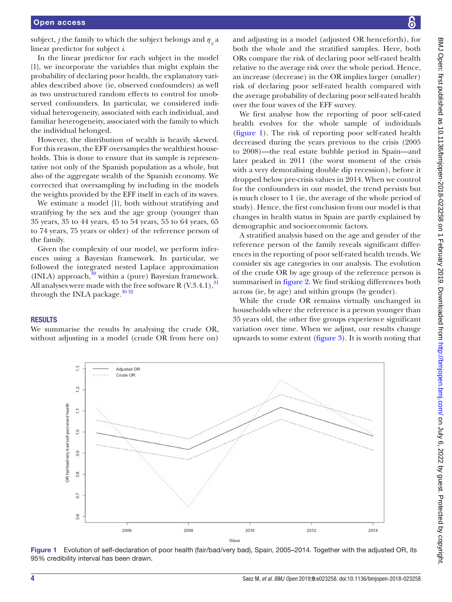subject, *j* the family to which the subject belongs and  $\eta_{\mu}$  a linear predictor for subject *i*.

In the linear predictor for each subject in the model {1}, we incorporate the variables that might explain the probability of declaring poor health, the explanatory variables described above (ie, observed confounders) as well as two unstructured random effects to control for unobserved confounders. In particular, we considered individual heterogeneity, associated with each individual, and familiar heterogeneity, associated with the family to which the individual belonged.

However, the distribution of wealth is heavily skewed. For this reason, the EFF oversamples the wealthiest households. This is done to ensure that its sample is representative not only of the Spanish population as a whole, but also of the aggregate wealth of the Spanish economy. We corrected that oversampling by including in the models the weights provided by the EFF itself in each of its waves.

We estimate a model {1}, both without stratifying and stratifying by the sex and the age group (younger than 35 years, 35 to 44 years, 45 to 54 years, 55 to 64 years, 65 to 74 years, 75 years or older) of the reference person of the family.

Given the complexity of our model, we perform inferences using a Bayesian framework. In particular, we followed the integrated nested Laplace approximation (INLA) approach, $30$  within a (pure) Bayesian framework. All analyses were made with the free software R  $(V.3.4.1)$ , <sup>31</sup> through the INLA package.<sup>[30 32](#page-8-12)</sup>

#### **RESULTS**

 $1.3$ 

We summarise the results by analysing the crude OR, without adjusting in a model (crude OR from here on)

> Adjusted OR Crude OR

and adjusting in a model (adjusted OR henceforth), for both the whole and the stratified samples. Here, both ORs compare the risk of declaring poor self-rated health relative to the average risk over the whole period. Hence, an increase (decrease) in the OR implies larger (smaller) risk of declaring poor self-rated health compared with the average probability of declaring poor self-rated health over the four waves of the EFF survey.

We first analyse how the reporting of poor self-rated health evolves for the whole sample of individuals [\(figure](#page-3-0) 1). The risk of reporting poor self-rated health decreased during the years previous to the crisis (2005 to 2008)—the real estate bubble period in Spain—and later peaked in 2011 (the worst moment of the crisis with a very demoralising double dip recession), before it dropped below pre-crisis values in 2014. When we control for the confounders in our model, the trend persists but is much closer to 1 (ie, the average of the whole period of study). Hence, the first conclusion from our model is that changes in health status in Spain are partly explained by demographic and socioeconomic factors.

A stratified analysis based on the age and gender of the reference person of the family reveals significant differences in the reporting of poor self-rated health trends. We consider six age categories in our analysis. The evolution of the crude OR by age group of the reference person is summarised in [figure](#page-4-0) 2. We find striking differences both across (ie, by age) and within groups (by gender).

While the crude OR remains virtually unchanged in households where the reference is a person younger than 35 years old, the other five groups experience significant variation over time. When we adjust, our results change upwards to some extent ([figure](#page-4-1) 3). It is worth noting that



<span id="page-3-0"></span>Figure 1 Evolution of self-declaration of poor health (fair/bad/very bad), Spain, 2005–2014. Together with the adjusted OR, its 95% credibility interval has been drawn.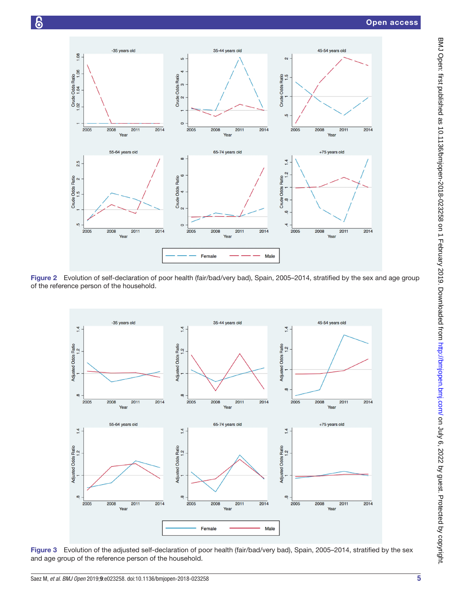

Figure 2 Evolution of self-declaration of poor health (fair/bad/very bad), Spain, 2005–2014, stratified by the sex and age group of the reference person of the household.

<span id="page-4-0"></span>

<span id="page-4-1"></span>Figure 3 Evolution of the adjusted self-declaration of poor health (fair/bad/very bad), Spain, 2005-2014, stratified by the sex and age group of the reference person of the household.

 $6$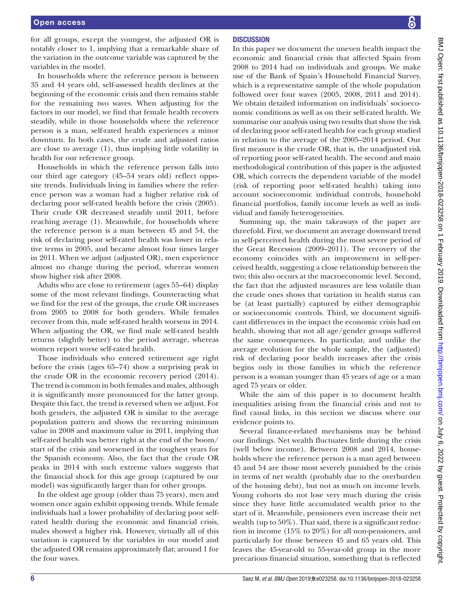for all groups, except the youngest, the adjusted OR is notably closer to 1, implying that a remarkable share of the variation in the outcome variable was captured by the variables in the model.

In households where the reference person is between 35 and 44 years old, self-assessed health declines at the beginning of the economic crisis and then remains stable for the remaining two waves. When adjusting for the factors in our model, we find that female health recovers steadily, while in those households where the reference person is a man, self-rated health experiences a minor downturn. In both cases, the crude and adjusted ratios are close to average (1), thus implying little volatility in health for our reference group.

Households in which the reference person falls into our third age category (45–54 years old) reflect opposite trends. Individuals living in families where the reference person was a woman had a higher relative risk of declaring poor self-rated health before the crisis (2005). Their crude OR decreased steadily until 2011, before reaching average (1). Meanwhile, for households where the reference person is a man between 45 and 54, the risk of declaring poor self-rated health was lower in relative terms in 2005, and became almost four times larger in 2011. When we adjust (adjusted OR), men experience almost no change during the period, whereas women show higher risk after 2008.

Adults who are close to retirement (ages 55–64) display some of the most relevant findings. Counteracting what we find for the rest of the groups, the crude OR increases from 2005 to 2008 for both genders. While females recover from this, male self-rated health worsens in 2014. When adjusting the OR, we find male self-rated health returns (slightly better) to the period average, whereas women report worse self-rated health.

Those individuals who entered retirement age right before the crisis (ages 65–74) show a surprising peak in the crude OR in the economic recovery period (2014). The trend is common in both females and males, although it is significantly more pronounced for the latter group. Despite this fact, the trend is reversed when we adjust. For both genders, the adjusted OR is similar to the average population pattern and shows the recurring minimum value in 2008 and maximum value in 2011, implying that self-rated health was better right at the end of the boom/ start of the crisis and worsened in the toughest years for the Spanish economy. Also, the fact that the crude OR peaks in 2014 with such extreme values suggests that the financial shock for this age group (captured by our model) was significantly larger than for other groups.

In the oldest age group (older than 75 years), men and women once again exhibit opposing trends. While female individuals had a lower probability of declaring poor selfrated health during the economic and financial crisis, males showed a higher risk. However, virtually all of this variation is captured by the variables in our model and the adjusted OR remains approximately flat; around 1 for the four waves.

#### **DISCUSSION**

In this paper we document the uneven health impact the economic and financial crisis that affected Spain from 2008 to 2014 had on individuals and groups. We make use of the Bank of Spain's Household Financial Survey, which is a representative sample of the whole population followed over four waves (2005, 2008, 2011 and 2014). We obtain detailed information on individuals' socioeconomic conditions as well as on their self-rated health. We summarise our analysis using two results that show the risk of declaring poor self-rated health for each group studied in relation to the average of the 2005–2014 period. Our first measure is the crude OR, that is, the unadjusted risk of reporting poor self-rated health. The second and main methodological contribution of this paper is the adjusted OR, which corrects the dependent variable of the model (risk of reporting poor self-rated health) taking into account socioeconomic individual controls, household financial portfolios, family income levels as well as individual and family heterogeneities.

Summing up, the main takeaways of the paper are threefold. First, we document an average downward trend in self-perceived health during the most severe period of the Great Recession (2009–2011). The recovery of the economy coincides with an improvement in self-perceived health, suggesting a close relationship between the two; this also occurs at the macroeconomic level. Second, the fact that the adjusted measures are less volatile than the crude ones shows that variation in health status can be (at least partially) captured by either demographic or socioeconomic controls. Third, we document significant differences in the impact the economic crisis had on health, showing that not all age/gender groups suffered the same consequences. In particular, and unlike the average evolution for the whole sample, the (adjusted) risk of declaring poor health increases after the crisis begins only in those families in which the reference person is a woman younger than 45 years of age or a man aged 75 years or older.

While the aim of this paper is to document health inequalities arising from the financial crisis and not to find causal links, in this section we discuss where our evidence points to.

Several finance-related mechanisms may be behind our findings. Net wealth fluctuates little during the crisis (well below income). Between 2008 and 2014, households where the reference person is a man aged between 45 and 54 are those most severely punished by the crisis in terms of net wealth (probably due to the overburden of the housing debt), but not as much on income levels. Young cohorts do not lose very much during the crisis since they have little accumulated wealth prior to the start of it. Meanwhile, pensioners even increase their net wealth (up to 50%). That said, there is a significant reduction in income (15% to 20%) for all non-pensioners, and particularly for those between 45 and 65 years old. This leaves the 45-year-old to 55-year-old group in the more precarious financial situation, something that is reflected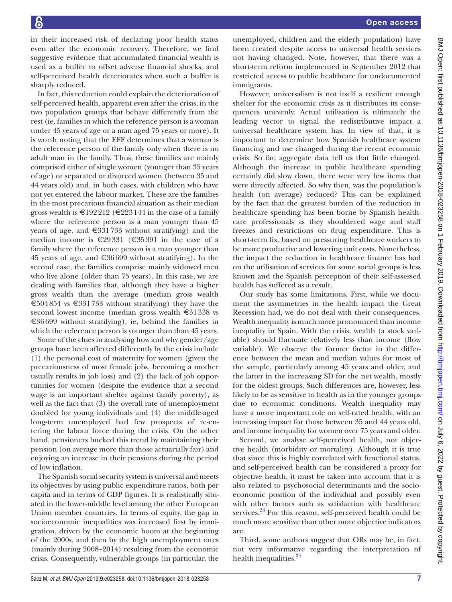Open access

in their increased risk of declaring poor health status even after the economic recovery. Therefore, we find suggestive evidence that accumulated financial wealth is used as a buffer to offset adverse financial shocks, and self-perceived health deteriorates when such a buffer is sharply reduced.

In fact, this reduction could explain the deterioration of self-perceived health, apparent even after the crisis, in the two population groups that behave differently from the rest (ie, families in which the reference person is a woman under 45 years of age or a man aged 75 years or more). It is worth noting that the EFF determines that a woman is the reference person of the family only when there is no adult man in the family. Thus, these families are mainly comprised either of single women (younger than 35 years of age) or separated or divorced women (between 35 and 44 years old) and, in both cases, with children who have not yet entered the labour market. These are the families in the most precarious financial situation as their median gross wealth is  $\epsilon$ 192212 ( $\epsilon$ 223144 in the case of a family where the reference person is a man younger than 45 years of age, and €331733 without stratifying) and the median income is  $\epsilon$ 29331 ( $\epsilon$ 35391 in the case of a family where the reference person is a man younger than 45 years of age, and €36699 without stratifying). In the second case, the families comprise mainly widowed men who live alone (older than 75 years). In this case, we are dealing with families that, although they have a higher gross wealth than the average (median gross wealth €504854 vs €331733 without stratifying) they have the second lowest income (median gross wealth €31338 vs  $\epsilon$ 36699 without stratifying), ie, behind the families in which the reference person is younger than than 45 years.

Some of the clues in analysing how and why gender/age groups have been affected differently by the crisis include (1) the personal cost of maternity for women (given the precariousness of most female jobs, becoming a mother usually results in job loss) and (2) the lack of job opportunities for women (despite the evidence that a second wage is an important shelter against family poverty), as well as the fact that (3) the overall rate of unemployment doubled for young individuals and (4) the middle-aged long-term unemployed had few prospects of re-entering the labour force during the crisis. On the other hand, pensioners bucked this trend by maintaining their pension (on average more than those actuarially fair) and enjoying an increase in their pensions during the period of low inflation.

The Spanish social security system is universal and meets its objectives by using public expenditure ratios, both per capita and in terms of GDP figures. It is realistically situated in the lower-middle level among the other European Union member countries. In terms of equity, the gap in socioeconomic inequalities was increased first by immigration, driven by the economic boom at the beginning of the 2000s, and then by the high unemployment rates (mainly during 2008–2014) resulting from the economic crisis. Consequently, vulnerable groups (in particular, the

unemployed, children and the elderly population) have been created despite access to universal health services not having changed. Note, however, that there was a short-term reform implemented in September 2012 that restricted access to public healthcare for undocumented immigrants.

However, universalism is not itself a resilient enough shelter for the economic crisis as it distributes its consequences unevenly. Actual utilisation is ultimately the leading vector to signal the redistributive impact a universal healthcare system has. In view of that, it is important to determine how Spanish healthcare system financing and use changed during the recent economic crisis. So far, aggregate data tell us that little changed. Although the increase in public healthcare spending certainly did slow down, there were very few items that were directly affected. So why then, was the population's health (on average) reduced? This can be explained by the fact that the greatest burden of the reduction in healthcare spending has been borne by Spanish healthcare professionals as they shouldered wage and staff freezes and restrictions on drug expenditure. This is short-term fix, based on pressuring healthcare workers to be more productive and lowering unit costs. Nonetheless, the impact the reduction in healthcare finance has had on the utilisation of services for some social groups is less known and the Spanish perception of their self-assessed health has suffered as a result.

Our study has some limitations. First, while we document the asymmetries in the health impact the Great Recession had, we do not deal with their consequences. Wealth inequality is much more pronounced than income inequality in Spain. With the crisis, wealth (a stock variable) should fluctuate relatively less than income (flow variable). We observe the former factor in the difference between the mean and median values for most of the sample, particularly among 45 years and older, and the latter in the increasing SD for the net wealth, mostly for the oldest groups. Such differences are, however, less likely to be as sensitive to health as in the younger groups due to economic conditions. Wealth inequality may have a more important role on self-rated health, with an increasing impact for those between 35 and 44 years old, and income inequality for women over 75 years and older.

Second, we analyse self-perceived health, not objective health (morbidity or mortality). Although it is true that since this is highly correlated with functional status, and self-perceived health can be considered a proxy for objective health, it must be taken into account that it is also related to psychosocial determinants and the socioeconomic position of the individual and possibly even with other factors such as satisfaction with healthcare services.<sup>[33](#page-8-14)</sup> For this reason, self-perceived health could be much more sensitive than other more objective indicators are.

Third, some authors suggest that ORs may be, in fact, not very informative regarding the interpretation of health inequalities.<sup>34</sup>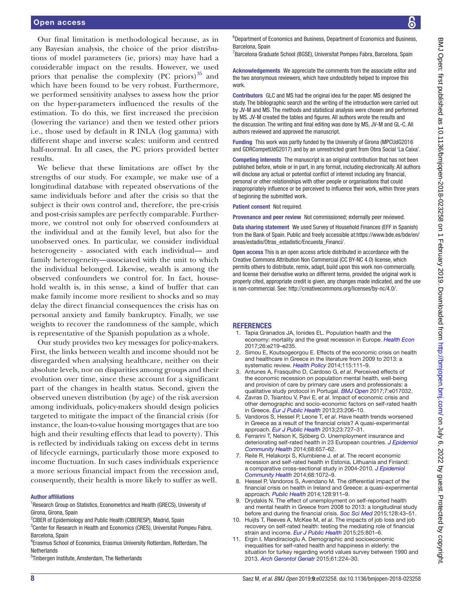#### Open access

Our final limitation is methodological because, as in any Bayesian analysis, the choice of the prior distributions of model parameters (ie, priors) may have had a considerable impact on the results. However, we used priors that penalise the complexity (PC priors) $35$  and which have been found to be very robust. Furthermore, we performed sensitivity analyses to assess how the prior on the hyper-parameters influenced the results of the estimation. To do this, we first increased the precision (lowering the variance) and then we tested other priors i.e., those used by default in R INLA (log gamma) with different shape and inverse scales: uniform and centred half-normal. In all cases, the PC priors provided better results.

We believe that these limitations are offset by the strengths of our study. For example, we make use of a longitudinal database with repeated observations of the same individuals before and after the crisis so that the subject is their own control and, therefore, the pre-crisis and post-crisis samples are perfectly comparable. Furthermore, we control not only for observed confounders at the individual and at the family level, but also for the unobserved ones. In particular, we consider individual heterogeneity - associated with each individual— and family heterogeneity—associated with the unit to which the individual belonged. Likewise, wealth is among the observed confounders we control for. In fact, household wealth is, in this sense, a kind of buffer that can make family income more resilient to shocks and so may delay the direct financial consequences the crisis has on personal anxiety and family bankruptcy. Finally, we use weights to recover the randomness of the sample, which is representative of the Spanish population as a whole.

Our study provides two key messages for policy-makers. First, the links between wealth and income should not be disregarded when analysing healthcare, neither on their absolute levels, nor on disparities among groups and their evolution over time, since these account for a significant part of the changes in health status. Second, given the observed uneven distribution (by age) of the risk aversion among individuals, policy-makers should design policies targeted to mitigate the impact of the financial crisis (for instance, the loan-to-value housing mortgages that are too high and their resulting effects that lead to poverty). This is reflected by individuals taking on excess debt in terms of lifecycle earnings, particularly those more exposed to income fluctuation. In such cases individuals experience a more serious financial impact from the recession and, consequently, their health is more likely to suffer as well.

#### Author affiliations

<sup>1</sup>Research Group on Statistics, Econometrics and Health (GRECS), University of Girona, Girona, Spain

<sup>2</sup>CIBER of Epidemiology and Public Health (CIBERESP), Madrid, Spain

<sup>3</sup> Center for Research in Health and Economics (CRES), Universitat Pompeu Fabra, Barcelona, Spain

4 Erasmus School of Economics, Erasmus University Rotterdam, Rotterdam, The Netherlands

5 Tinbergen Institute, Amsterdam, The Netherlands

<sup>6</sup>Department of Economics and Business, Department of Economics and Business, Barcelona, Spain

<sup>7</sup> Barcelona Graduate School (BGSE), Universitat Pompeu Fabra, Barcelona, Spain

Acknowledgements We appreciate the comments from the associate editor and the two anonymous reviewers, which have undoubtedly helped to improve this work.

Contributors GLC and MS had the original idea for the paper. MS designed the study. The bibliographic search and the writing of the introduction were carried out by JV-M and MS. The methods and statistical analysis were chosen and performed by MS. JV-M created the tables and figures. All authors wrote the results and the discussion. The writing and final editing was done by MS, JV-M and GL-C. All authors reviewed and approved the manuscript.

Funding This work was partly funded by the University of Girona (MPCUdG2016 and GDRCompetUdG2017) and by an unrestricted grant from Obra Social 'La Caixa'.

Competing interests The manuscript is an original contribution that has not been published before, whole or in part, in any format, including electronically. All authors will disclose any actual or potential conflict of interest including any financial, personal or other relationships with other people or organisations that could inappropriately influence or be perceived to influence their work, within three years of beginning the submitted work.

Patient consent Not required.

Provenance and peer review Not commissioned; externally peer reviewed.

Data sharing statement We used Survey of Household Finances (EFF in Spanish) from the Bank of Spain. Public and freely accessible at:[https://www.bde.es/bde/en/](https://www.bde.es/bde/en/areas/estadis/Otras_estadistic/Encuesta_Financi/) [areas/estadis/Otras\\_estadistic/Encuesta\\_Financi/.](https://www.bde.es/bde/en/areas/estadis/Otras_estadistic/Encuesta_Financi/)

Open access This is an open access article distributed in accordance with the Creative Commons Attribution Non Commercial (CC BY-NC 4.0) license, which permits others to distribute, remix, adapt, build upon this work non-commercially, and license their derivative works on different terms, provided the original work is properly cited, appropriate credit is given, any changes made indicated, and the use is non-commercial. See: [http://creativecommons.org/licenses/by-nc/4.0/.](http://creativecommons.org/licenses/by-nc/4.0/)

#### **REFERENCES**

- <span id="page-7-0"></span>1. Tapia Granados JA, Ionides EL. Population health and the economy: mortality and the great recession in Europe. *[Health Econ](http://dx.doi.org/10.1002/hec.3495)* 2017;26:e219–e235.
- <span id="page-7-1"></span>2. Simou E, Koutsogeorgou E. Effects of the economic crisis on health and healthcare in Greece in the literature from 2009 to 2013: a systematic review. *[Health Policy](http://dx.doi.org/10.1016/j.healthpol.2014.02.002)* 2014;115:111–9.
- <span id="page-7-2"></span>3. Antunes A, Frasquilho D, Cardoso G, *et al*. Perceived effects of the economic recession on population mental health, well-being and provision of care by primary care users and professionals: a qualitative study protocol in Portugal. *[BMJ Open](http://dx.doi.org/10.1136/bmjopen-2017-017032)* 2017;7:e017032.
- <span id="page-7-3"></span>4. Zavras D, Tsiantou V, Pavi E, *et al*. Impact of economic crisis and other demographic and socio-economic factors on self-rated health in Greece. *[Eur J Public Health](http://dx.doi.org/10.1093/eurpub/cks143)* 2013;23:206–10.
- 5. Vandoros S, Hessel P, Leone T, *et al*. Have health trends worsened in Greece as a result of the financial crisis? A quasi-experimental approach. *[Eur J Public Health](http://dx.doi.org/10.1093/eurpub/ckt020)* 2013;23:727–31.
- 6. Ferrarini T, Nelson K, Sjöberg O. Unemployment insurance and deteriorating self-rated health in 23 European countries. *[J Epidemiol](http://dx.doi.org/10.1136/jech-2013-203721)  [Community Health](http://dx.doi.org/10.1136/jech-2013-203721)* 2014;68:657–62.
- 7. Reile R, Helakorpi S, Klumbiene J, *et al*. The recent economic recession and self-rated health in Estonia, Lithuania and Finland: a comparative cross-sectional study in 2004-2010. *[J Epidemiol](http://dx.doi.org/10.1136/jech-2014-204196)  [Community Health](http://dx.doi.org/10.1136/jech-2014-204196)* 2014;68:1072–9.
- 8. Hessel P, Vandoros S, Avendano M. The differential impact of the financial crisis on health in Ireland and Greece: a quasi-experimental approach. *[Public Health](http://dx.doi.org/10.1016/j.puhe.2014.08.004)* 2014;128:911–9.
- <span id="page-7-4"></span>9. Drydakis N. The effect of unemployment on self-reported health and mental health in Greece from 2008 to 2013: a longitudinal study before and during the financial crisis. *[Soc Sci Med](http://dx.doi.org/10.1016/j.socscimed.2014.12.025)* 2015;128:43–51.
- 10. Huijts T, Reeves A, McKee M, *et al*. The impacts of job loss and job recovery on self-rated health: testing the mediating role of financial strain and income. *[Eur J Public Health](http://dx.doi.org/10.1093/eurpub/ckv108)* 2015;25:801–6.
- <span id="page-7-5"></span>11. Ergin I, Mandiracioglu A. Demographic and socioeconomic inequalities for self-rated health and happiness in elderly: the situation for turkey regarding world values survey between 1990 and 2013. *[Arch Gerontol Geriatr](http://dx.doi.org/10.1016/j.archger.2015.06.011)* 2015;61:224–30.